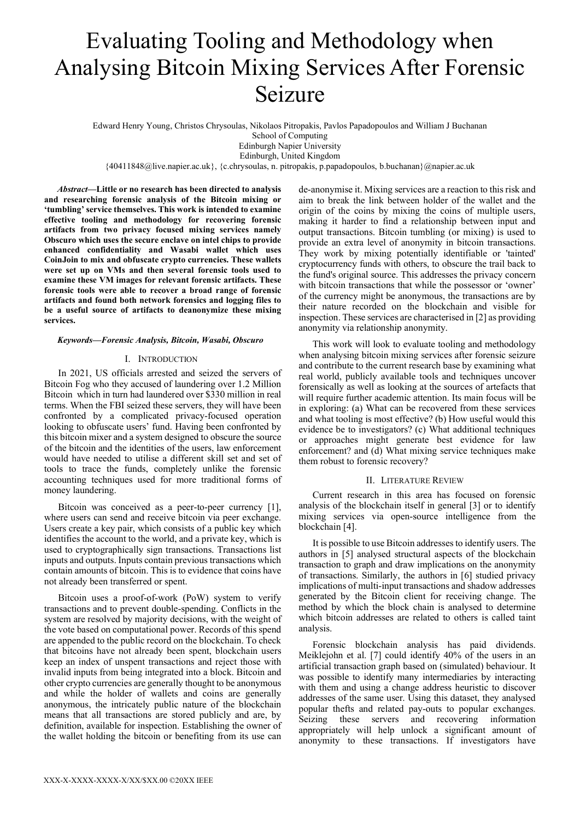# Evaluating Tooling and Methodology when Analysing Bitcoin Mixing Services After Forensic Seizure

Edward Henry Young, Christos Chrysoulas, Nikolaos Pitropakis, Pavlos Papadopoulos and William J Buchanan

School of Computing Edinburgh Napier University

Edinburgh, United Kingdom  ${40411848@live.napier.ac.uk},$  {c.chrysoulas, n. pitropakis, p.papadopoulos, b.buchanan}@napier.ac.uk

Abstract—Little or no research has been directed to analysis and researching forensic analysis of the Bitcoin mixing or 'tumbling' service themselves. This work is intended to examine effective tooling and methodology for recovering forensic artifacts from two privacy focused mixing services namely Obscuro which uses the secure enclave on intel chips to provide enhanced confidentiality and Wasabi wallet which uses CoinJoin to mix and obfuscate crypto currencies. These wallets were set up on VMs and then several forensic tools used to examine these VM images for relevant forensic artifacts. These forensic tools were able to recover a broad range of forensic artifacts and found both network forensics and logging files to be a useful source of artifacts to deanonymize these mixing services.

# Keywords—Forensic Analysis, Bitcoin, Wasabi, Obscuro

# I. INTRODUCTION

In 2021, US officials arrested and seized the servers of Bitcoin Fog who they accused of laundering over 1.2 Million Bitcoin which in turn had laundered over \$330 million in real terms. When the FBI seized these servers, they will have been confronted by a complicated privacy-focused operation looking to obfuscate users' fund. Having been confronted by this bitcoin mixer and a system designed to obscure the source of the bitcoin and the identities of the users, law enforcement would have needed to utilise a different skill set and set of tools to trace the funds, completely unlike the forensic accounting techniques used for more traditional forms of money laundering.

Bitcoin was conceived as a peer-to-peer currency [1], where users can send and receive bitcoin via peer exchange. Users create a key pair, which consists of a public key which identifies the account to the world, and a private key, which is used to cryptographically sign transactions. Transactions list inputs and outputs. Inputs contain previous transactions which contain amounts of bitcoin. This is to evidence that coins have not already been transferred or spent.

Bitcoin uses a proof-of-work (PoW) system to verify transactions and to prevent double-spending. Conflicts in the system are resolved by majority decisions, with the weight of the vote based on computational power. Records of this spend are appended to the public record on the blockchain. To check that bitcoins have not already been spent, blockchain users keep an index of unspent transactions and reject those with invalid inputs from being integrated into a block. Bitcoin and other crypto currencies are generally thought to be anonymous and while the holder of wallets and coins are generally anonymous, the intricately public nature of the blockchain means that all transactions are stored publicly and are, by definition, available for inspection. Establishing the owner of the wallet holding the bitcoin or benefiting from its use can

de-anonymise it. Mixing services are a reaction to this risk and aim to break the link between holder of the wallet and the origin of the coins by mixing the coins of multiple users, making it harder to find a relationship between input and output transactions. Bitcoin tumbling (or mixing) is used to provide an extra level of anonymity in bitcoin transactions. They work by mixing potentially identifiable or 'tainted' cryptocurrency funds with others, to obscure the trail back to the fund's original source. This addresses the privacy concern with bitcoin transactions that while the possessor or 'owner' of the currency might be anonymous, the transactions are by their nature recorded on the blockchain and visible for inspection. These services are characterised in [2] as providing anonymity via relationship anonymity.

This work will look to evaluate tooling and methodology when analysing bitcoin mixing services after forensic seizure and contribute to the current research base by examining what real world, publicly available tools and techniques uncover forensically as well as looking at the sources of artefacts that will require further academic attention. Its main focus will be in exploring: (a) What can be recovered from these services and what tooling is most effective? (b) How useful would this evidence be to investigators? (c) What additional techniques or approaches might generate best evidence for law enforcement? and (d) What mixing service techniques make them robust to forensic recovery?

# II. LITERATURE REVIEW

Current research in this area has focused on forensic analysis of the blockchain itself in general [3] or to identify mixing services via open-source intelligence from the blockchain [4].

It is possible to use Bitcoin addresses to identify users. The authors in [5] analysed structural aspects of the blockchain transaction to graph and draw implications on the anonymity of transactions. Similarly, the authors in [6] studied privacy implications of multi-input transactions and shadow addresses generated by the Bitcoin client for receiving change. The method by which the block chain is analysed to determine which bitcoin addresses are related to others is called taint analysis.

Forensic blockchain analysis has paid dividends. Meiklejohn et al. [7] could identify 40% of the users in an artificial transaction graph based on (simulated) behaviour. It was possible to identify many intermediaries by interacting with them and using a change address heuristic to discover addresses of the same user. Using this dataset, they analysed popular thefts and related pay-outs to popular exchanges. Seizing these servers and recovering information appropriately will help unlock a significant amount of anonymity to these transactions. If investigators have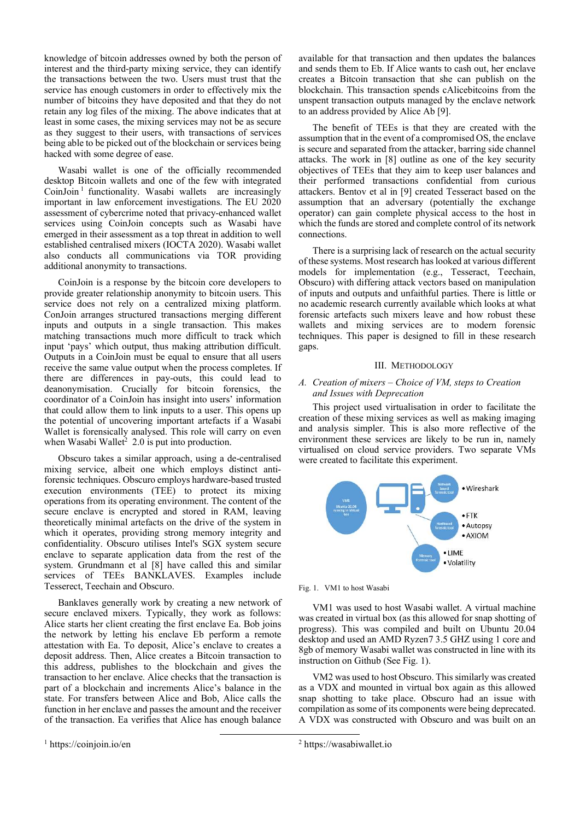knowledge of bitcoin addresses owned by both the person of interest and the third-party mixing service, they can identify the transactions between the two. Users must trust that the service has enough customers in order to effectively mix the number of bitcoins they have deposited and that they do not retain any log files of the mixing. The above indicates that at least in some cases, the mixing services may not be as secure as they suggest to their users, with transactions of services being able to be picked out of the blockchain or services being hacked with some degree of ease.

Wasabi wallet is one of the officially recommended desktop Bitcoin wallets and one of the few with integrated CoinJoin<sup>1</sup> functionality. Wasabi wallets are increasingly important in law enforcement investigations. The EU 2020 assessment of cybercrime noted that privacy-enhanced wallet services using CoinJoin concepts such as Wasabi have emerged in their assessment as a top threat in addition to well established centralised mixers (IOCTA 2020). Wasabi wallet also conducts all communications via TOR providing additional anonymity to transactions.

CoinJoin is a response by the bitcoin core developers to provide greater relationship anonymity to bitcoin users. This service does not rely on a centralized mixing platform. ConJoin arranges structured transactions merging different inputs and outputs in a single transaction. This makes matching transactions much more difficult to track which input 'pays' which output, thus making attribution difficult. Outputs in a CoinJoin must be equal to ensure that all users receive the same value output when the process completes. If there are differences in pay-outs, this could lead to deanonymisation. Crucially for bitcoin forensics, the coordinator of a CoinJoin has insight into users' information that could allow them to link inputs to a user. This opens up the potential of uncovering important artefacts if a Wasabi Wallet is forensically analysed. This role will carry on even when Wasabi Wallet<sup>2</sup> 2.0 is put into production.

Obscuro takes a similar approach, using a de-centralised mixing service, albeit one which employs distinct antiforensic techniques. Obscuro employs hardware-based trusted execution environments (TEE) to protect its mixing operations from its operating environment. The content of the secure enclave is encrypted and stored in RAM, leaving theoretically minimal artefacts on the drive of the system in which it operates, providing strong memory integrity and confidentiality. Obscuro utilises Intel's SGX system secure enclave to separate application data from the rest of the system. Grundmann et al [8] have called this and similar services of TEEs BANKLAVES. Examples include Tesserect, Teechain and Obscuro.

Banklaves generally work by creating a new network of secure enclaved mixers. Typically, they work as follows: Alice starts her client creating the first enclave Ea. Bob joins the network by letting his enclave Eb perform a remote attestation with Ea. To deposit, Alice's enclave to creates a deposit address. Then, Alice creates a Bitcoin transaction to this address, publishes to the blockchain and gives the transaction to her enclave. Alice checks that the transaction is part of a blockchain and increments Alice's balance in the state. For transfers between Alice and Bob, Alice calls the function in her enclave and passes the amount and the receiver of the transaction. Ea verifies that Alice has enough balance

available for that transaction and then updates the balances and sends them to Eb. If Alice wants to cash out, her enclave creates a Bitcoin transaction that she can publish on the blockchain. This transaction spends cAlicebitcoins from the unspent transaction outputs managed by the enclave network to an address provided by Alice Ab [9].

The benefit of TEEs is that they are created with the assumption that in the event of a compromised OS, the enclave is secure and separated from the attacker, barring side channel attacks. The work in [8] outline as one of the key security objectives of TEEs that they aim to keep user balances and their performed transactions confidential from curious attackers. Bentov et al in [9] created Tesseract based on the assumption that an adversary (potentially the exchange operator) can gain complete physical access to the host in which the funds are stored and complete control of its network connections.

There is a surprising lack of research on the actual security of these systems. Most research has looked at various different models for implementation (e.g., Tesseract, Teechain, Obscuro) with differing attack vectors based on manipulation of inputs and outputs and unfaithful parties. There is little or no academic research currently available which looks at what forensic artefacts such mixers leave and how robust these wallets and mixing services are to modern forensic techniques. This paper is designed to fill in these research gaps.

#### III. METHODOLOGY

## A. Creation of mixers – Choice of VM, steps to Creation and Issues with Deprecation

This project used virtualisation in order to facilitate the creation of these mixing services as well as making imaging and analysis simpler. This is also more reflective of the environment these services are likely to be run in, namely virtualised on cloud service providers. Two separate VMs were created to facilitate this experiment.





VM1 was used to host Wasabi wallet. A virtual machine was created in virtual box (as this allowed for snap shotting of progress). This was compiled and built on Ubuntu 20.04 desktop and used an AMD Ryzen7 3.5 GHZ using 1 core and 8gb of memory Wasabi wallet was constructed in line with its instruction on Github (See Fig. 1).

VM2 was used to host Obscuro. This similarly was created as a VDX and mounted in virtual box again as this allowed snap shotting to take place. Obscuro had an issue with compilation as some of its components were being deprecated. A VDX was constructed with Obscuro and was built on an

<sup>2</sup> https://wasabiwallet.io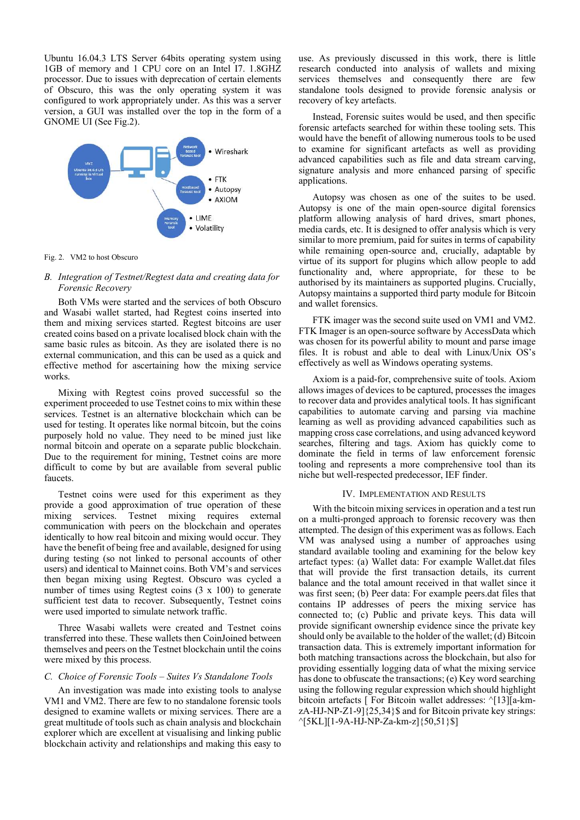Ubuntu 16.04.3 LTS Server 64bits operating system using 1GB of memory and 1 CPU core on an Intel I7. 1.8GHZ processor. Due to issues with deprecation of certain elements of Obscuro, this was the only operating system it was configured to work appropriately under. As this was a server version, a GUI was installed over the top in the form of a GNOME UI (See Fig.2).



Fig. 2. VM2 to host Obscuro

# B. Integration of Testnet/Regtest data and creating data for Forensic Recovery

Both VMs were started and the services of both Obscuro and Wasabi wallet started, had Regtest coins inserted into them and mixing services started. Regtest bitcoins are user created coins based on a private localised block chain with the same basic rules as bitcoin. As they are isolated there is no external communication, and this can be used as a quick and effective method for ascertaining how the mixing service works.

Mixing with Regtest coins proved successful so the experiment proceeded to use Testnet coins to mix within these services. Testnet is an alternative blockchain which can be used for testing. It operates like normal bitcoin, but the coins purposely hold no value. They need to be mined just like normal bitcoin and operate on a separate public blockchain. Due to the requirement for mining, Testnet coins are more difficult to come by but are available from several public faucets.

Testnet coins were used for this experiment as they provide a good approximation of true operation of these mixing services. Testnet mixing requires external communication with peers on the blockchain and operates identically to how real bitcoin and mixing would occur. They have the benefit of being free and available, designed for using during testing (so not linked to personal accounts of other users) and identical to Mainnet coins. Both VM's and services then began mixing using Regtest. Obscuro was cycled a number of times using Regtest coins  $(3 \times 100)$  to generate sufficient test data to recover. Subsequently, Testnet coins were used imported to simulate network traffic.

Three Wasabi wallets were created and Testnet coins transferred into these. These wallets then CoinJoined between themselves and peers on the Testnet blockchain until the coins were mixed by this process.

## C. Choice of Forensic Tools – Suites Vs Standalone Tools

An investigation was made into existing tools to analyse VM1 and VM2. There are few to no standalone forensic tools designed to examine wallets or mixing services. There are a great multitude of tools such as chain analysis and blockchain explorer which are excellent at visualising and linking public blockchain activity and relationships and making this easy to

use. As previously discussed in this work, there is little research conducted into analysis of wallets and mixing services themselves and consequently there are few standalone tools designed to provide forensic analysis or recovery of key artefacts.

Instead, Forensic suites would be used, and then specific forensic artefacts searched for within these tooling sets. This would have the benefit of allowing numerous tools to be used to examine for significant artefacts as well as providing advanced capabilities such as file and data stream carving, signature analysis and more enhanced parsing of specific applications.

Autopsy was chosen as one of the suites to be used. Autopsy is one of the main open-source digital forensics platform allowing analysis of hard drives, smart phones, media cards, etc. It is designed to offer analysis which is very similar to more premium, paid for suites in terms of capability while remaining open-source and, crucially, adaptable by virtue of its support for plugins which allow people to add functionality and, where appropriate, for these to be authorised by its maintainers as supported plugins. Crucially, Autopsy maintains a supported third party module for Bitcoin and wallet forensics.

FTK imager was the second suite used on VM1 and VM2. FTK Imager is an open-source software by AccessData which was chosen for its powerful ability to mount and parse image files. It is robust and able to deal with Linux/Unix OS's effectively as well as Windows operating systems.

Axiom is a paid-for, comprehensive suite of tools. Axiom allows images of devices to be captured, processes the images to recover data and provides analytical tools. It has significant capabilities to automate carving and parsing via machine learning as well as providing advanced capabilities such as mapping cross case correlations, and using advanced keyword searches, filtering and tags. Axiom has quickly come to dominate the field in terms of law enforcement forensic tooling and represents a more comprehensive tool than its niche but well-respected predecessor, IEF finder.

## IV. IMPLEMENTATION AND RESULTS

With the bitcoin mixing services in operation and a test run on a multi-pronged approach to forensic recovery was then attempted. The design of this experiment was as follows. Each VM was analysed using a number of approaches using standard available tooling and examining for the below key artefact types: (a) Wallet data: For example Wallet.dat files that will provide the first transaction details, its current balance and the total amount received in that wallet since it was first seen; (b) Peer data: For example peers.dat files that contains IP addresses of peers the mixing service has connected to; (c) Public and private keys. This data will provide significant ownership evidence since the private key should only be available to the holder of the wallet; (d) Bitcoin transaction data. This is extremely important information for both matching transactions across the blockchain, but also for providing essentially logging data of what the mixing service has done to obfuscate the transactions; (e) Key word searching using the following regular expression which should highlight bitcoin artefacts [ For Bitcoin wallet addresses: ^[13][a-kmzA-HJ-NP-Z1-9]{25,34}\$ and for Bitcoin private key strings: ^[5KL][1-9A-HJ-NP-Za-km-z]{50,51}\$]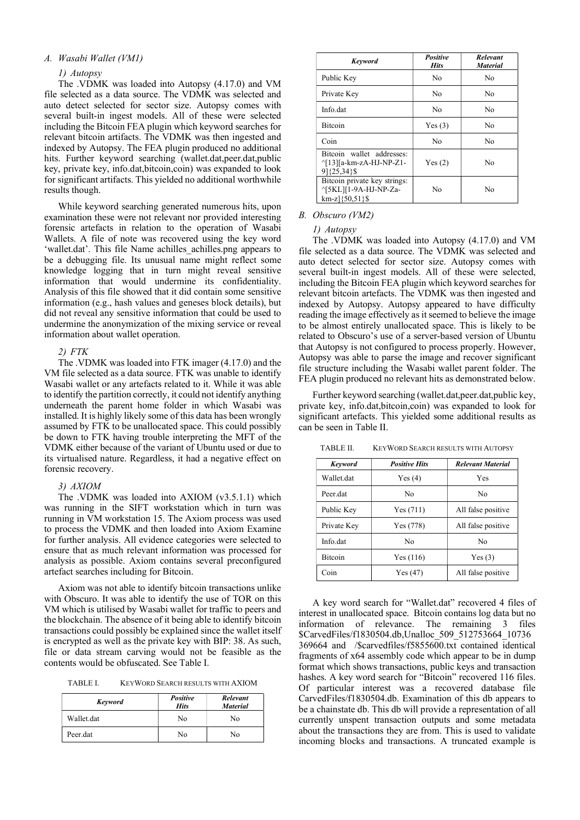## A. Wasabi Wallet (VM1)

#### 1) Autopsy

The .VDMK was loaded into Autopsy (4.17.0) and VM file selected as a data source. The VDMK was selected and auto detect selected for sector size. Autopsy comes with several built-in ingest models. All of these were selected including the Bitcoin FEA plugin which keyword searches for relevant bitcoin artifacts. The VDMK was then ingested and indexed by Autopsy. The FEA plugin produced no additional hits. Further keyword searching (wallet.dat,peer.dat,public key, private key, info.dat,bitcoin,coin) was expanded to look for significant artifacts. This yielded no additional worthwhile results though.

While keyword searching generated numerous hits, upon examination these were not relevant nor provided interesting forensic artefacts in relation to the operation of Wasabi Wallets. A file of note was recovered using the key word 'wallet.dat'. This file Name achilles\_achilles.png appears to be a debugging file. Its unusual name might reflect some knowledge logging that in turn might reveal sensitive information that would undermine its confidentiality. Analysis of this file showed that it did contain some sensitive information (e.g., hash values and geneses block details), but did not reveal any sensitive information that could be used to undermine the anonymization of the mixing service or reveal information about wallet operation.

#### 2) FTK

The .VDMK was loaded into FTK imager (4.17.0) and the VM file selected as a data source. FTK was unable to identify Wasabi wallet or any artefacts related to it. While it was able to identify the partition correctly, it could not identify anything underneath the parent home folder in which Wasabi was installed. It is highly likely some of this data has been wrongly assumed by FTK to be unallocated space. This could possibly be down to FTK having trouble interpreting the MFT of the VDMK either because of the variant of Ubuntu used or due to its virtualised nature. Regardless, it had a negative effect on forensic recovery.

#### 3) AXIOM

The .VDMK was loaded into AXIOM (v3.5.1.1) which was running in the SIFT workstation which in turn was running in VM workstation 15. The Axiom process was used to process the VDMK and then loaded into Axiom Examine for further analysis. All evidence categories were selected to ensure that as much relevant information was processed for analysis as possible. Axiom contains several preconfigured artefact searches including for Bitcoin.

Axiom was not able to identify bitcoin transactions unlike with Obscuro. It was able to identify the use of TOR on this VM which is utilised by Wasabi wallet for traffic to peers and the blockchain. The absence of it being able to identify bitcoin transactions could possibly be explained since the wallet itself is encrypted as well as the private key with BIP: 38. As such, file or data stream carving would not be feasible as the contents would be obfuscated. See Table I.

TABLE I. KEYWORD SEARCH RESULTS WITH AXIOM

| Keyword    | <b>Positive</b><br><b>Hits</b> | <b>Relevant</b><br><b>Material</b> |
|------------|--------------------------------|------------------------------------|
| Wallet.dat | No                             | No                                 |
| Peer.dat   | No                             | No                                 |

| Keyword                                                                    | Positive<br><b>Hits</b> | <b>Relevant</b><br><b>Material</b> |
|----------------------------------------------------------------------------|-------------------------|------------------------------------|
| Public Key                                                                 | No                      | No                                 |
| Private Key                                                                | No                      | No                                 |
| Info.dat                                                                   | No                      | No                                 |
| <b>Bitcoin</b>                                                             | Yes(3)                  | No                                 |
| Coin                                                                       | No                      | No                                 |
| Bitcoin wallet addresses:<br>^[13][a-km-zA-HJ-NP-Z1-<br>91{25,34}\$        | Yes(2)                  | Nο                                 |
| Bitcoin private key strings:<br>^[5KL][1-9A-HJ-NP-Za-<br>$km-z$ }{50,51}\$ | No                      | No                                 |

#### B. Obscuro (VM2)

1) Autopsy

The .VDMK was loaded into Autopsy (4.17.0) and VM file selected as a data source. The VDMK was selected and auto detect selected for sector size. Autopsy comes with several built-in ingest models. All of these were selected, including the Bitcoin FEA plugin which keyword searches for relevant bitcoin artefacts. The VDMK was then ingested and indexed by Autopsy. Autopsy appeared to have difficulty reading the image effectively as it seemed to believe the image to be almost entirely unallocated space. This is likely to be related to Obscuro's use of a server-based version of Ubuntu that Autopsy is not configured to process properly. However, Autopsy was able to parse the image and recover significant file structure including the Wasabi wallet parent folder. The FEA plugin produced no relevant hits as demonstrated below.

Further keyword searching (wallet.dat,peer.dat,public key, private key, info.dat,bitcoin,coin) was expanded to look for significant artefacts. This yielded some additional results as can be seen in Table II.

TABLE II. KEYWORD SEARCH RESULTS WITH AUTOPSY

| <b>Keyword</b> | <b>Positive Hits</b> | <b>Relevant Material</b> |
|----------------|----------------------|--------------------------|
| Wallet.dat     | Yes(4)               | Yes                      |
| Peer dat       | No                   | Nο                       |
| Public Key     | Yes (711)            | All false positive       |
| Private Key    | Yes (778)            | All false positive       |
| Info dat       | Nο                   | No                       |
| <b>Bitcoin</b> | Yes(116)             | Yes(3)                   |
| Coin           | Yes(47)              | All false positive       |

A key word search for "Wallet.dat" recovered 4 files of interest in unallocated space. Bitcoin contains log data but no information of relevance. The remaining 3 files \$CarvedFiles/f1830504.db,Unalloc\_509\_512753664\_10736 369664 and /\$carvedfiles/f5855600.txt contained identical fragments of x64 assembly code which appear to be in dump format which shows transactions, public keys and transaction hashes. A key word search for "Bitcoin" recovered 116 files. Of particular interest was a recovered database file CarvedFiles/f1830504.db. Examination of this db appears to be a chainstate db. This db will provide a representation of all currently unspent transaction outputs and some metadata about the transactions they are from. This is used to validate incoming blocks and transactions. A truncated example is